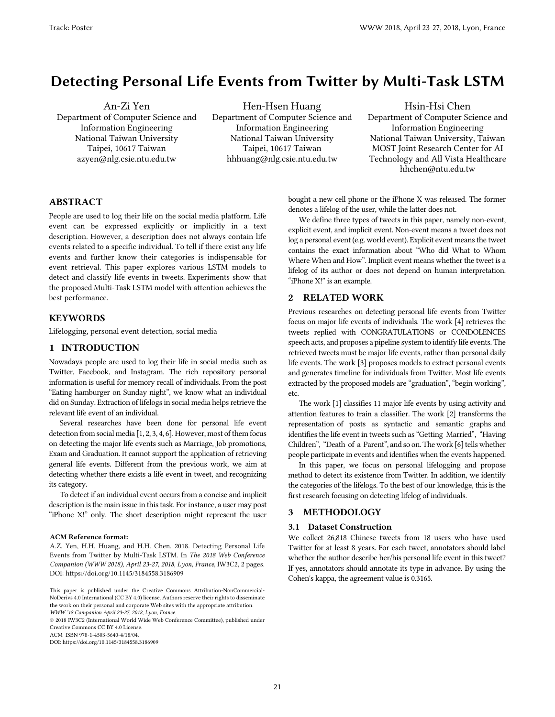# Detecting Personal Life Events from Twitter by Multi-Task LSTM

An-Zi Yen Department of Computer Science and Information Engineering National Taiwan University Taipei, 10617 Taiwan azyen@nlg.csie.ntu.edu.tw

Hen-Hsen Huang Department of Computer Science and Information Engineering National Taiwan University Taipei, 10617 Taiwan hhhuang@nlg.csie.ntu.edu.tw

Hsin-Hsi Chen Department of Computer Science and Information Engineering National Taiwan University, Taiwan MOST Joint Research Center for AI Technology and All Vista Healthcare hhchen@ntu.edu.tw

# ABSTRACT

People are used to log their life on the social media platform. Life event can be expressed explicitly or implicitly in a text description. However, a description does not always contain life events related to a specific individual. To tell if there exist any life events and further know their categories is indispensable for event retrieval. This paper explores various LSTM models to detect and classify life events in tweets. Experiments show that the proposed Multi-Task LSTM model with attention achieves the best performance.

# **KEYWORDS**

Lifelogging, personal event detection, social media

# 1 INTRODUCTION

Nowadays people are used to log their life in social media such as Twitter, Facebook, and Instagram. The rich repository personal information is useful for memory recall of individuals. From the post "Eating hamburger on Sunday night", we know what an individual did on Sunday. Extraction of lifelogs in social media helps retrieve the relevant life event of an individual.

Several researches have been done for personal life event detection from social media [1, 2, 3, 4, 6]. However, most of them focus on detecting the major life events such as Marriage, Job promotions, Exam and Graduation. It cannot support the application of retrieving general life events. Different from the previous work, we aim at detecting whether there exists a life event in tweet, and recognizing its category.

To detect if an individual event occurs from a concise and implicit description is the main issue in this task. For instance, a user may post "iPhone X!" only. The short description might represent the user

#### ACM Reference format:

A.Z. Yen, H.H. Huang, and H.H. Chen. 2018. Detecting Personal Life Events from Twitter by Multi-Task LSTM. In *The 2018 Web Conference Companion (WWW 2018), April 23-27, 2018, Lyon, France*, IW3C2, 2 pages. DOI: https://doi.org/10.1145/3184558.3186909

© 2018 IW3C2 (International World Wide Web Conference Committee), published under Creative Commons CC BY 4.0 License.

ACM ISBN 978-1-4503-5640-4/18/04.

DOI: https://doi.org/10.1145/3184558.3186909

bought a new cell phone or the iPhone X was released. The former denotes a lifelog of the user, while the latter does not.

We define three types of tweets in this paper, namely non-event, explicit event, and implicit event. Non-event means a tweet does not log a personal event (e.g. world event). Explicit event means the tweet contains the exact information about "Who did What to Whom Where When and How". Implicit event means whether the tweet is a lifelog of its author or does not depend on human interpretation. "iPhone X!" is an example.

# 2 RELATED WORK

Previous researches on detecting personal life events from Twitter focus on major life events of individuals. The work [4] retrieves the tweets replied with CONGRATULATIONS or CONDOLENCES speech acts, and proposes a pipeline system to identify life events. The retrieved tweets must be major life events, rather than personal daily life events. The work [3] proposes models to extract personal events and generates timeline for individuals from Twitter. Most life events extracted by the proposed models are "graduation", "begin working", etc.

The work [1] classifies 11 major life events by using activity and attention features to train a classifier. The work [2] transforms the representation of posts as syntactic and semantic graphs and identifies the life event in tweets such as "Getting Married", "Having Children", "Death of a Parent", and so on. The work [6] tells whether people participate in events and identifies when the events happened.

In this paper, we focus on personal lifelogging and propose method to detect its existence from Twitter. In addition, we identify the categories of the lifelogs. To the best of our knowledge, this is the first research focusing on detecting lifelog of individuals.

# 3 METHODOLOGY

#### 3.1 Dataset Construction

We collect 26,818 Chinese tweets from 18 users who have used Twitter for at least 8 years. For each tweet, annotators should label whether the author describe her/his personal life event in this tweet? If yes, annotators should annotate its type in advance. By using the Cohen's kappa, the agreement value is 0.3165.

This paper is published under the Creative Commons Attribution-NonCommercial-NoDerivs 4.0 International (CC BY 4.0) license. Authors reserve their rights to disseminate the work on their personal and corporate Web sites with the appropriate attribution. *WWW '18 Companion April 23-27, 2018, Lyon, France.*